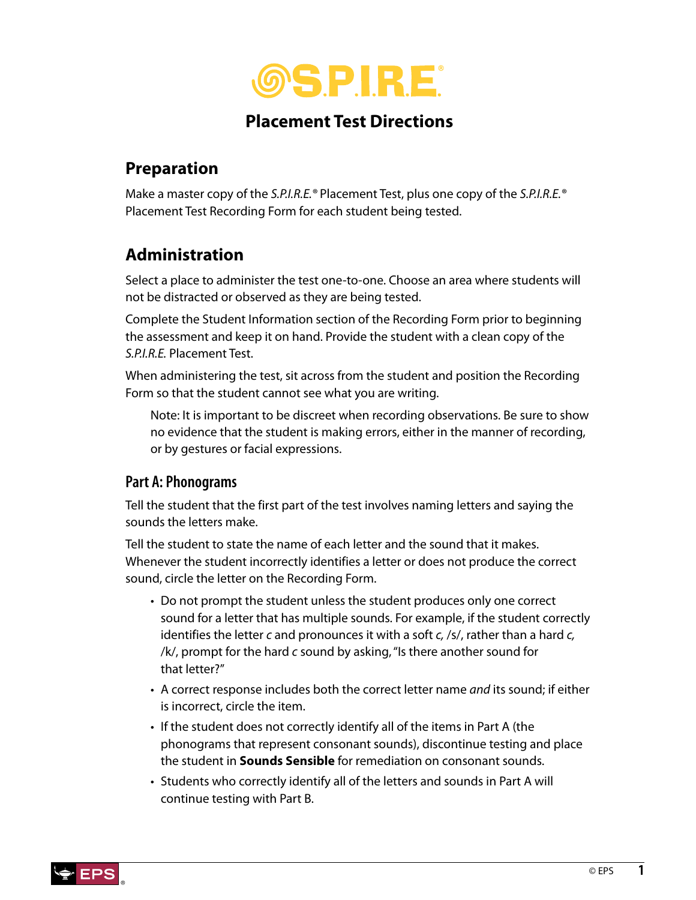

### **Placement Test Directions**

## **Preparation**

Make a master copy of the *S.P.I.R.E.®* Placement Test, plus one copy of the *S.P.I.R.E.®* Placement Test Recording Form for each student being tested.

## **Administration**

Select a place to administer the test one-to-one. Choose an area where students will not be distracted or observed as they are being tested.

Complete the Student Information section of the Recording Form prior to beginning the assessment and keep it on hand. Provide the student with a clean copy of the *S.P.I.R.E.* Placement Test.

When administering the test, sit across from the student and position the Recording Form so that the student cannot see what you are writing.

Note: It is important to be discreet when recording observations. Be sure to show no evidence that the student is making errors, either in the manner of recording, or by gestures or facial expressions.

#### **Part A: Phonograms**

Tell the student that the first part of the test involves naming letters and saying the sounds the letters make.

Tell the student to state the name of each letter and the sound that it makes. Whenever the student incorrectly identifies a letter or does not produce the correct sound, circle the letter on the Recording Form.

- Do not prompt the student unless the student produces only one correct sound for a letter that has multiple sounds. For example, if the student correctly identifies the letter *c* and pronounces it with a soft *c,* /s/, rather than a hard *c,* /k/, prompt for the hard *c* sound by asking, "Is there another sound for that letter?"
- A correct response includes both the correct letter name *and* its sound; if either is incorrect, circle the item.
- If the student does not correctly identify all of the items in Part A (the phonograms that represent consonant sounds), discontinue testing and place the student in **Sounds Sensible** for remediation on consonant sounds.
- Students who correctly identify all of the letters and sounds in Part A will continue testing with Part B.

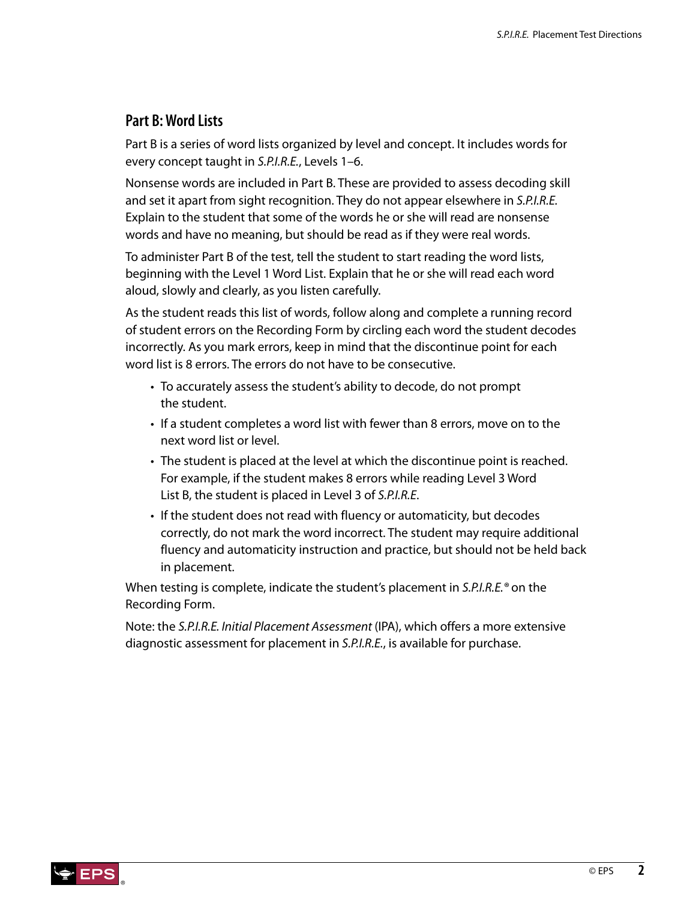#### **Part B: Word Lists**

Part B is a series of word lists organized by level and concept. It includes words for every concept taught in *S.P.I.R.E.*, Levels 1–6.

Nonsense words are included in Part B. These are provided to assess decoding skill and set it apart from sight recognition. They do not appear elsewhere in *S.P.I.R.E.* Explain to the student that some of the words he or she will read are nonsense words and have no meaning, but should be read as if they were real words.

To administer Part B of the test, tell the student to start reading the word lists, beginning with the Level 1 Word List. Explain that he or she will read each word aloud, slowly and clearly, as you listen carefully.

As the student reads this list of words, follow along and complete a running record of student errors on the Recording Form by circling each word the student decodes incorrectly. As you mark errors, keep in mind that the discontinue point for each word list is 8 errors. The errors do not have to be consecutive.

- To accurately assess the student's ability to decode, do not prompt the student.
- If a student completes a word list with fewer than 8 errors, move on to the next word list or level.
- The student is placed at the level at which the discontinue point is reached. For example, if the student makes 8 errors while reading Level 3 Word List B, the student is placed in Level 3 of *S.P.I.R.E*.
- If the student does not read with fluency or automaticity, but decodes correctly, do not mark the word incorrect. The student may require additional fluency and automaticity instruction and practice, but should not be held back in placement.

When testing is complete, indicate the student's placement in *S.P.I.R.E.®* on the Recording Form.

Note: the *S.P.I.R.E. Initial Placement Assessment* (IPA), which offers a more extensive diagnostic assessment for placement in *S.P.I.R.E.*, is available for purchase.